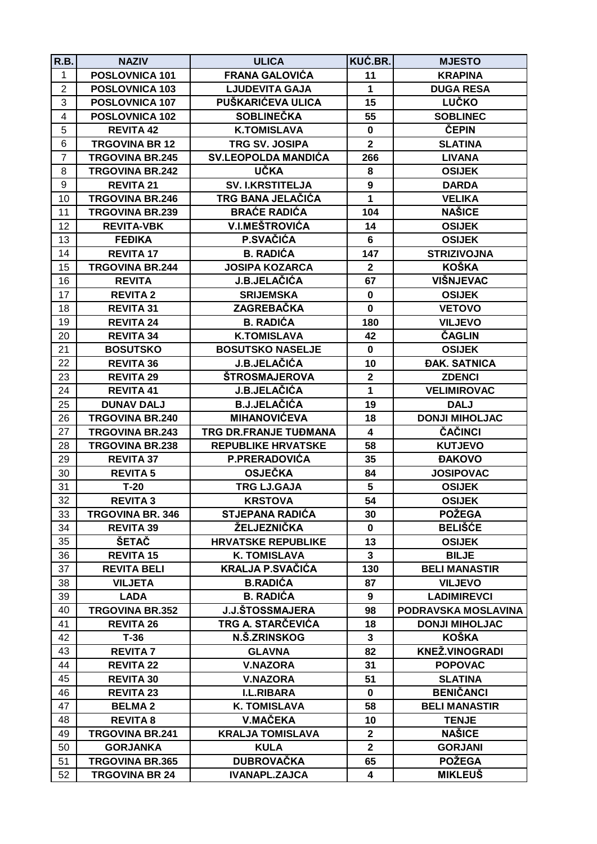| R.B.           | <b>NAZIV</b>            | <b>ULICA</b>               | KUĆ.BR.                 | <b>MJESTO</b>         |
|----------------|-------------------------|----------------------------|-------------------------|-----------------------|
| 1              | POSLOVNICA 101          | <b>FRANA GALOVIĆA</b>      | 11                      | <b>KRAPINA</b>        |
| $\overline{2}$ | POSLOVNICA 103          | <b>LJUDEVITA GAJA</b>      | $\mathbf{1}$            | <b>DUGA RESA</b>      |
| 3              | POSLOVNICA 107          | PUŠKARIĆEVA ULICA          | 15                      | <b>LUČKO</b>          |
| 4              | POSLOVNICA 102          | <b>SOBLINEČKA</b>          | 55                      | <b>SOBLINEC</b>       |
| 5              | <b>REVITA 42</b>        | <b>K.TOMISLAVA</b>         | $\pmb{0}$               | ČEPIN                 |
| 6              | <b>TRGOVINA BR 12</b>   | TRG SV. JOSIPA             | $\mathbf{2}$            | <b>SLATINA</b>        |
| $\overline{7}$ | <b>TRGOVINA BR.245</b>  | <b>SV.LEOPOLDA MANDIĆA</b> | 266                     | <b>LIVANA</b>         |
| 8              | <b>TRGOVINA BR.242</b>  | <b>UČKA</b>                | 8                       | <b>OSIJEK</b>         |
| 9              | <b>REVITA 21</b>        | <b>SV. I.KRSTITELJA</b>    | $\boldsymbol{9}$        | <b>DARDA</b>          |
| 10             | <b>TRGOVINA BR.246</b>  | TRG BANA JELAČIĆA          | $\mathbf{1}$            | <b>VELIKA</b>         |
| 11             | <b>TRGOVINA BR.239</b>  | <b>BRAĆE RADIĆA</b>        | 104                     | <b>NAŠICE</b>         |
| 12             | <b>REVITA-VBK</b>       | <b>V.I.MEŠTROVIĆA</b>      | 14                      | <b>OSIJEK</b>         |
| 13             | <b>FEĐIKA</b>           | P.SVAČIĆA                  | 6                       | <b>OSIJEK</b>         |
| 14             | <b>REVITA 17</b>        | <b>B. RADIĆA</b>           | 147                     | <b>STRIZIVOJNA</b>    |
| 15             | <b>TRGOVINA BR.244</b>  | <b>JOSIPA KOZARCA</b>      | $\mathbf{2}$            | <b>KOŠKA</b>          |
| 16             | <b>REVITA</b>           | J.B.JELAČIĆA               | 67                      | <b>VIŠNJEVAC</b>      |
| 17             | <b>REVITA 2</b>         | <b>SRIJEMSKA</b>           | $\mathbf 0$             | <b>OSIJEK</b>         |
| 18             | <b>REVITA 31</b>        | ZAGREBAČKA                 | $\mathbf 0$             | <b>VETOVO</b>         |
| 19             | <b>REVITA 24</b>        | <b>B. RADIĆA</b>           | 180                     | <b>VILJEVO</b>        |
| 20             | <b>REVITA 34</b>        | <b>K.TOMISLAVA</b>         | 42                      | <b>ČAGLIN</b>         |
| 21             | <b>BOSUTSKO</b>         | <b>BOSUTSKO NASELJE</b>    | $\mathbf 0$             | <b>OSIJEK</b>         |
| 22             | <b>REVITA 36</b>        | <b>J.B.JELAČIĆA</b>        | 10                      | <b>ĐAK. SATNICA</b>   |
| 23             | <b>REVITA 29</b>        | <b>ŠTROSMAJEROVA</b>       | $\overline{2}$          | <b>ZDENCI</b>         |
| 24             | <b>REVITA 41</b>        | J.B.JELAČIĆA               | 1                       | <b>VELIMIROVAC</b>    |
| 25             | <b>DUNAV DALJ</b>       | <b>B.J.JELAČIĆA</b>        | 19                      | <b>DALJ</b>           |
| 26             | <b>TRGOVINA BR.240</b>  | <b>MIHANOVIĆEVA</b>        | 18                      | <b>DONJI MIHOLJAC</b> |
| 27             | <b>TRGOVINA BR.243</b>  | TRG DR.FRANJE TUĐMANA      | $\overline{\mathbf{4}}$ | ČAČINCI               |
| 28             | <b>TRGOVINA BR.238</b>  | <b>REPUBLIKE HRVATSKE</b>  | 58                      | <b>KUTJEVO</b>        |
| 29             | <b>REVITA 37</b>        | P.PRERADOVIĆA              | 35                      | <b>ĐAKOVO</b>         |
| 30             | <b>REVITA 5</b>         | <b>OSJEČKA</b>             | 84                      | <b>JOSIPOVAC</b>      |
| 31             | $T-20$                  | <b>TRG LJ.GAJA</b>         | $5\phantom{.0}$         | <b>OSIJEK</b>         |
| 32             | <b>REVITA 3</b>         | <b>KRSTOVA</b>             | 54                      | <b>OSIJEK</b>         |
| 33             | <b>TRGOVINA BR. 346</b> | <b>STJEPANA RADIĆA</b>     | 30                      | <b>POŽEGA</b>         |
| 34             | <b>REVITA 39</b>        | ŽELJEZNIČKA                | $\mathbf{0}$            | <b>BELIŠĆE</b>        |
| 35             | ŠETAČ                   | <b>HRVATSKE REPUBLIKE</b>  | 13                      | <b>OSIJEK</b>         |
| 36             | <b>REVITA 15</b>        | <b>K. TOMISLAVA</b>        | $\mathbf{3}$            | <b>BILJE</b>          |
| 37             | <b>REVITA BELI</b>      | <b>KRALJA P.SVAČIĆA</b>    | 130                     | <b>BELI MANASTIR</b>  |
| 38             | <b>VILJETA</b>          | <b>B.RADIĆA</b>            | 87                      | <b>VILJEVO</b>        |
| 39             | <b>LADA</b>             | <b>B. RADIĆA</b>           | 9                       | <b>LADIMIREVCI</b>    |
| 40             | <b>TRGOVINA BR.352</b>  | <b>J.J.ŠTOSSMAJERA</b>     | 98                      | PODRAVSKA MOSLAVINA   |
| 41             | <b>REVITA 26</b>        | TRG A. STARČEVIĆA          | 18                      | <b>DONJI MIHOLJAC</b> |
| 42             | $T-36$                  | N.Š.ZRINSKOG               | 3                       | <b>KOŠKA</b>          |
| 43             | <b>REVITA 7</b>         | <b>GLAVNA</b>              | 82                      | <b>KNEŽ.VINOGRADI</b> |
| 44             | <b>REVITA 22</b>        | <b>V.NAZORA</b>            | 31                      | <b>POPOVAC</b>        |
| 45             | <b>REVITA 30</b>        | <b>V.NAZORA</b>            | 51                      | <b>SLATINA</b>        |
| 46             | <b>REVITA 23</b>        | <b>I.L.RIBARA</b>          | 0                       | <b>BENIČANCI</b>      |
| 47             | <b>BELMA2</b>           | <b>K. TOMISLAVA</b>        | 58                      | <b>BELI MANASTIR</b>  |
| 48             | <b>REVITA 8</b>         | V.MAČEKA                   | 10                      | <b>TENJE</b>          |
| 49             | <b>TRGOVINA BR.241</b>  | <b>KRALJA TOMISLAVA</b>    | $\mathbf{2}$            | <b>NAŠICE</b>         |
| 50             | <b>GORJANKA</b>         | <b>KULA</b>                | $\mathbf{2}$            | <b>GORJANI</b>        |
| 51             | <b>TRGOVINA BR.365</b>  | <b>DUBROVAČKA</b>          | 65                      | <b>POŽEGA</b>         |
| 52             | <b>TRGOVINA BR 24</b>   | <b>IVANAPL.ZAJCA</b>       | 4                       | <b>MIKLEUŠ</b>        |